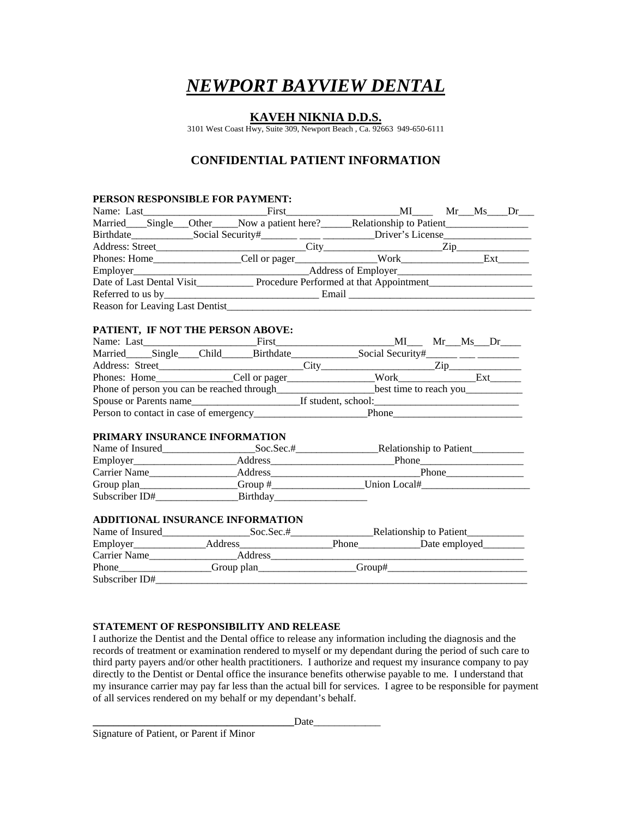# *NEWPORT BAYVIEW DENTAL*

### **KAVEH NIKNIA D.D.S.**

3101 West Coast Hwy, Suite 309, Newport Beach , Ca. 92663 949-650-6111

## **CONFIDENTIAL PATIENT INFORMATION**

#### **PERSON RESPONSIBLE FOR PAYMENT:**

|                                  |                                                                                                     |  | $Mr$ $Ms$ $Dr$ |     |
|----------------------------------|-----------------------------------------------------------------------------------------------------|--|----------------|-----|
|                                  | Married____Single___Other_____Now a patient here?______Relationship to Patient_____________________ |  |                |     |
|                                  |                                                                                                     |  |                |     |
|                                  |                                                                                                     |  |                |     |
|                                  |                                                                                                     |  |                | Ext |
|                                  | Employer Address of Employer                                                                        |  |                |     |
|                                  |                                                                                                     |  |                |     |
|                                  |                                                                                                     |  |                |     |
| Reason for Leaving Last Dentist_ |                                                                                                     |  |                |     |

#### **PATIENT, IF NOT THE PERSON ABOVE:**

| Name: Last                                 | First     | ML                     | Mr Ms Dr                        |  |
|--------------------------------------------|-----------|------------------------|---------------------------------|--|
| Married Single Child                       | Birthdate |                        | Social Security#______ ___ ____ |  |
| Address: Street                            |           |                        |                                 |  |
|                                            |           | <b>Work</b>            | Ext                             |  |
| Phone of person you can be reached through |           | best time to reach you |                                 |  |
| Spouse or Parents name                     |           | If student, school:    |                                 |  |
| Person to contact in case of emergency     |           | Phone                  |                                 |  |

#### **PRIMARY INSURANCE INFORMATION**

| Name of Insured | Soc. Sec.# | <b>Relationship to Patient</b> |
|-----------------|------------|--------------------------------|
| Employer        | Address    | Phone                          |
| Carrier Name    | Address    | Phone                          |
| Group plan      | Group #    | Union Local#                   |
| Subscriber ID#  | Birthday   |                                |

#### **ADDITIONAL INSURANCE INFORMATION**

| Name of Insured | Soc. Sec.# |        | _Relationship to Patient_ |  |
|-----------------|------------|--------|---------------------------|--|
| Employer        | Address    | Phone  | Date employed             |  |
| Carrier Name    | Address    |        |                           |  |
| Phone           | Group plan | Group# |                           |  |
| Subscriber ID#  |            |        |                           |  |

#### **STATEMENT OF RESPONSIBILITY AND RELEASE**

I authorize the Dentist and the Dental office to release any information including the diagnosis and the records of treatment or examination rendered to myself or my dependant during the period of such care to third party payers and/or other health practitioners. I authorize and request my insurance company to pay directly to the Dentist or Dental office the insurance benefits otherwise payable to me. I understand that my insurance carrier may pay far less than the actual bill for services. I agree to be responsible for payment of all services rendered on my behalf or my dependant's behalf.

Date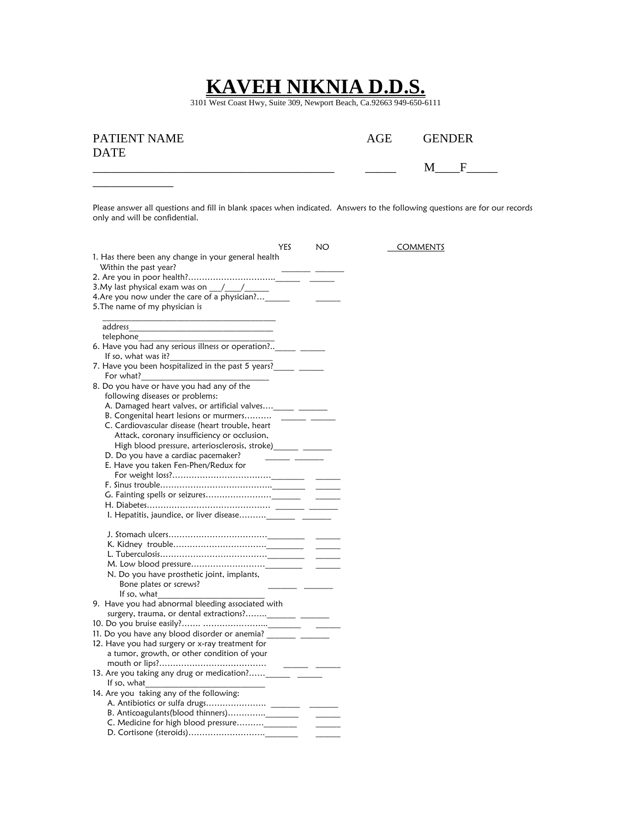## **KAVEH NIKNIA D.D.S.**

3101 West Coast Hwy, Suite 309, Newport Beach, Ca.92663 949-650-6111

| PATIENT NAME | AGE | <b>GENDER</b> |  |
|--------------|-----|---------------|--|
| <b>DATE</b>  |     |               |  |
|              |     |               |  |

Please answer all questions and fill in blank spaces when indicated. Answers to the following questions are for our records only and will be confidential.

| YES                                                                            | NO | <b>COMMENTS</b> |
|--------------------------------------------------------------------------------|----|-----------------|
| 1. Has there been any change in your general health                            |    |                 |
| Within the past year?                                                          |    |                 |
|                                                                                |    |                 |
| 3. My last physical exam was on $\frac{1}{\sqrt{1-\frac{1}{2}}}$               |    |                 |
| 4.Are you now under the care of a physician?                                   |    |                 |
| 5. The name of my physician is                                                 |    |                 |
|                                                                                |    |                 |
| address                                                                        |    |                 |
| telephone                                                                      |    |                 |
| 6. Have you had any serious illness or operation? ____________________________ |    |                 |
| If so, what was it?                                                            |    |                 |
| 7. Have you been hospitalized in the past 5 years?                             |    |                 |
| For what?                                                                      |    |                 |
| 8. Do you have or have you had any of the                                      |    |                 |
| following diseases or problems:                                                |    |                 |
| A. Damaged heart valves, or artificial valves______ _________                  |    |                 |
| B. Congenital heart lesions or murmers                                         |    |                 |
| C. Cardiovascular disease (heart trouble, heart                                |    |                 |
| Attack, coronary insufficiency or occlusion,                                   |    |                 |
| High blood pressure, arteriosclerosis, stroke)______ ________                  |    |                 |
| D. Do you have a cardiac pacemaker?                                            |    |                 |
| E. Have you taken Fen-Phen/Redux for                                           |    |                 |
|                                                                                |    |                 |
|                                                                                |    |                 |
|                                                                                |    |                 |
|                                                                                |    |                 |
|                                                                                |    |                 |
|                                                                                |    |                 |
|                                                                                |    |                 |
|                                                                                |    |                 |
|                                                                                |    |                 |
| N. Do you have prosthetic joint, implants,                                     |    |                 |
| Bone plates or screws?                                                         |    |                 |
| If so, what                                                                    |    |                 |
| 9. Have you had abnormal bleeding associated with                              |    |                 |
|                                                                                |    |                 |
|                                                                                |    |                 |
| 11. Do you have any blood disorder or anemia? __________ _________             |    |                 |
| 12. Have you had surgery or x-ray treatment for                                |    |                 |
| a tumor, growth, or other condition of your                                    |    |                 |
|                                                                                |    |                 |
|                                                                                |    |                 |
| If so, what                                                                    |    |                 |
| 14. Are you taking any of the following:                                       |    |                 |
|                                                                                |    |                 |
|                                                                                |    |                 |
|                                                                                |    |                 |
|                                                                                |    |                 |
|                                                                                |    |                 |